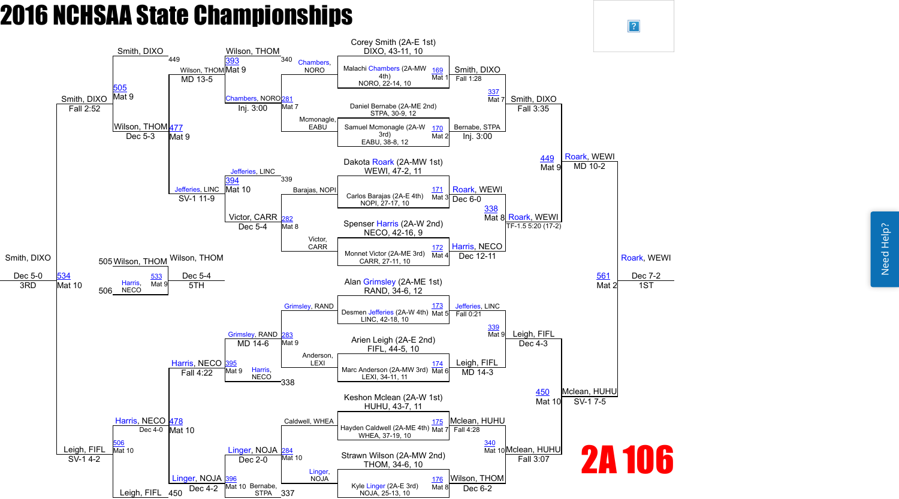Need Help? Need Help?

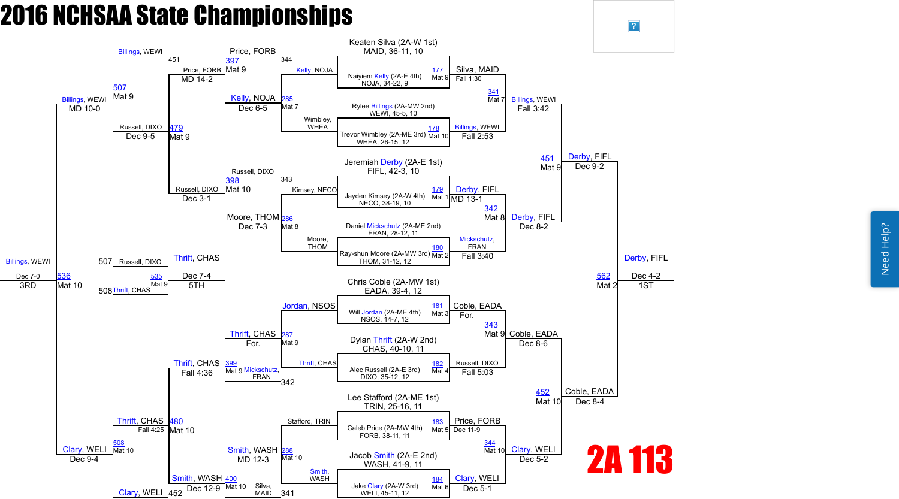

 $\sqrt{?}$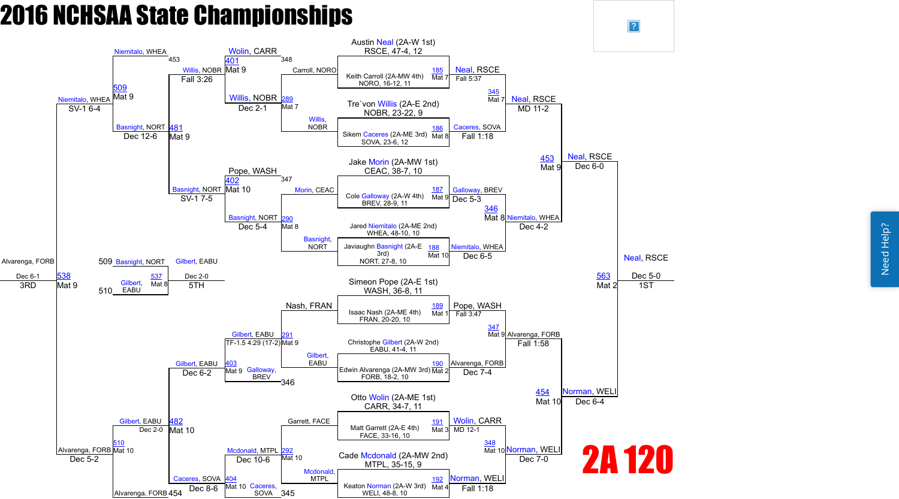

 $\sqrt{?}$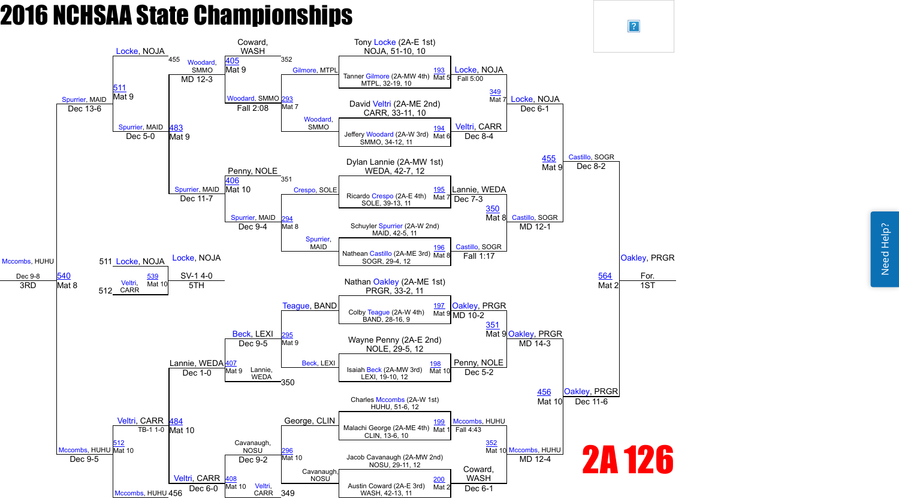Need Help? Need Help?

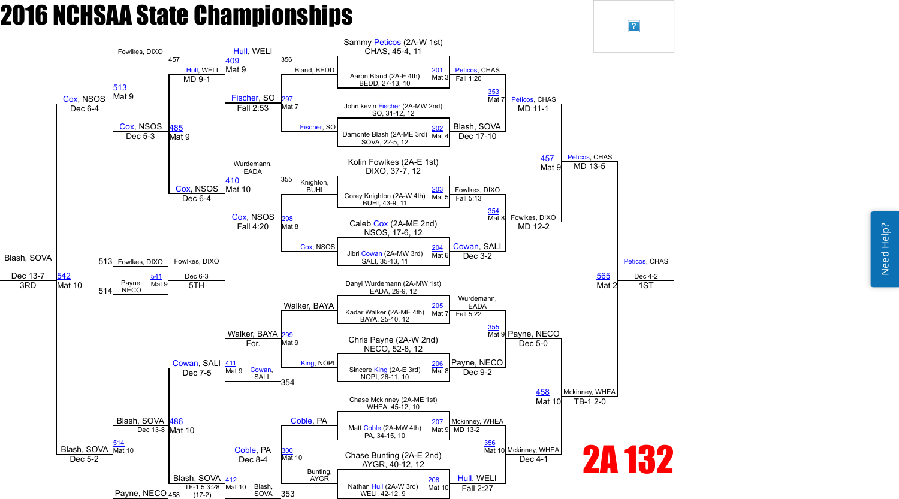Need Help? Need Help?

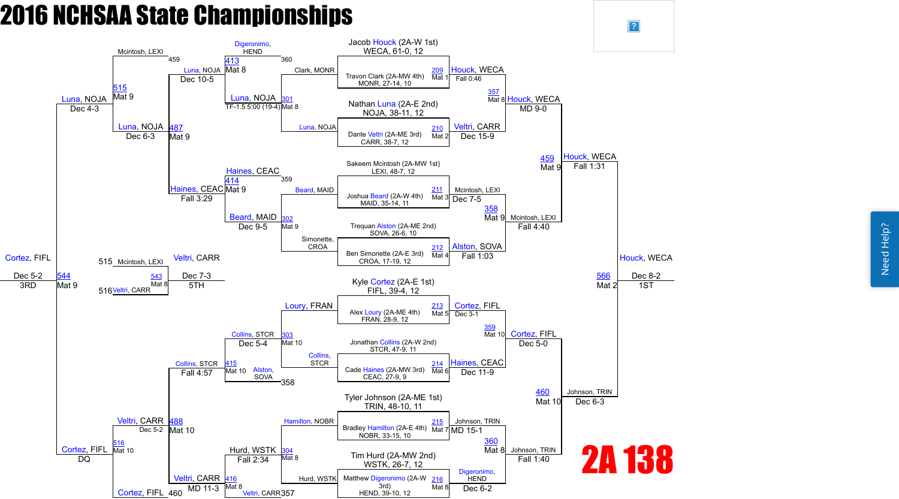Need Help? Need Help?



 $\sqrt{?}$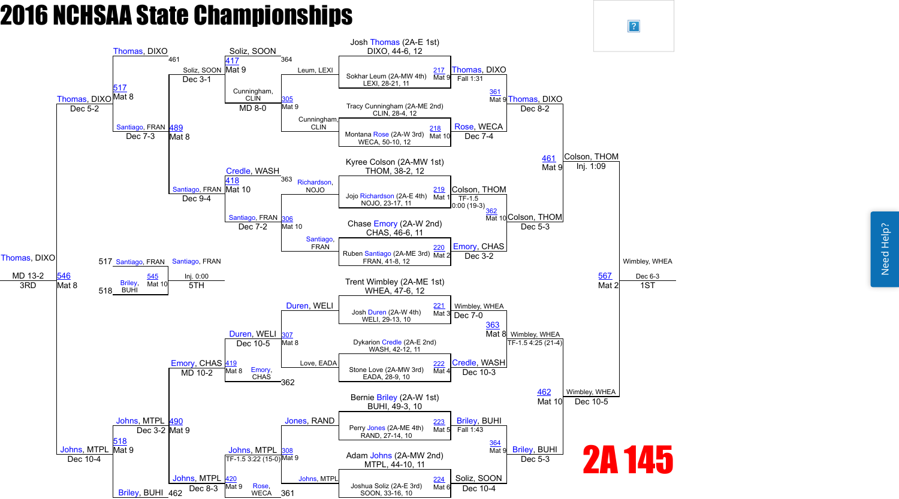Need Help? Need Help?



 $\boxed{?}$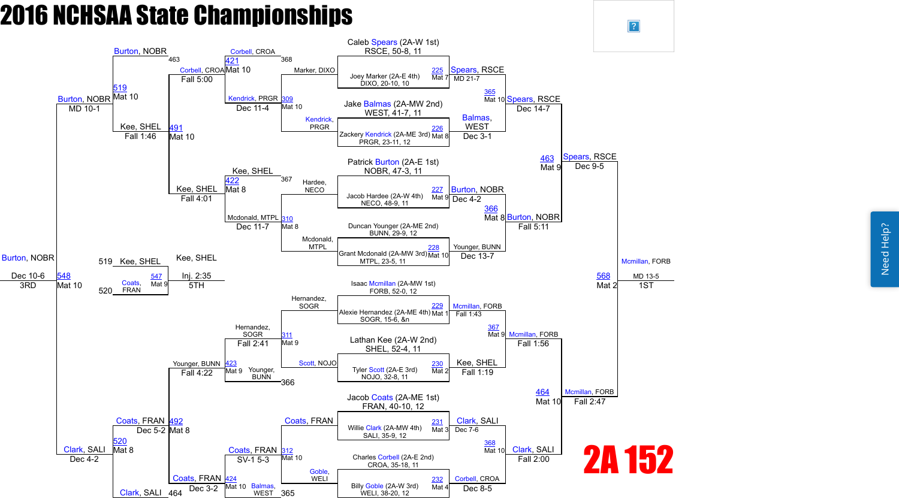Need Help? Need Help?

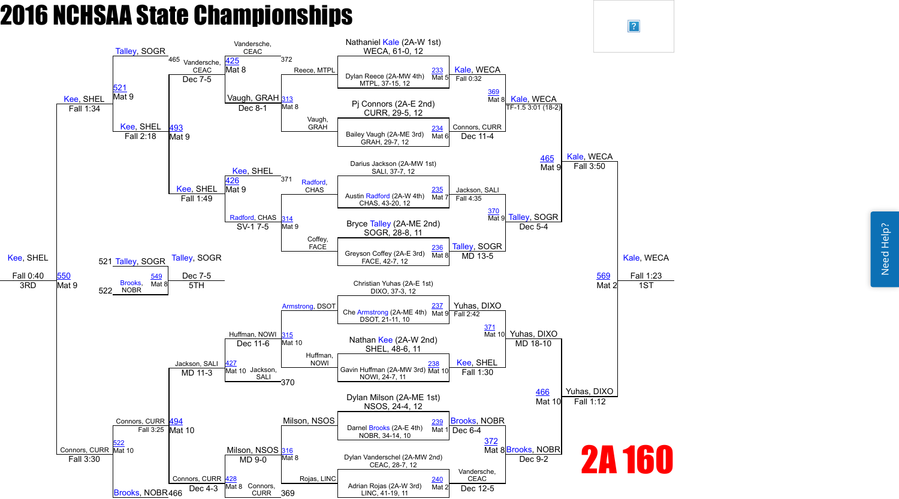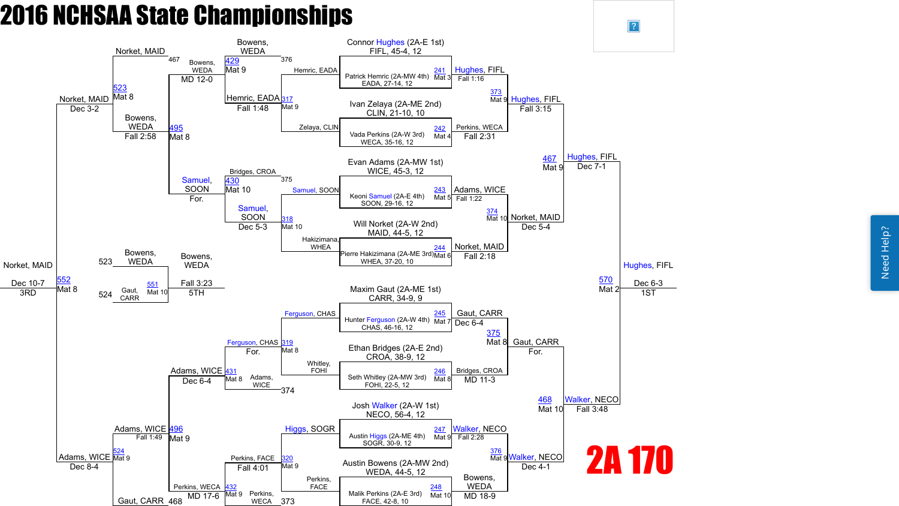Need Help? Need Help?



 $\boxed{?}$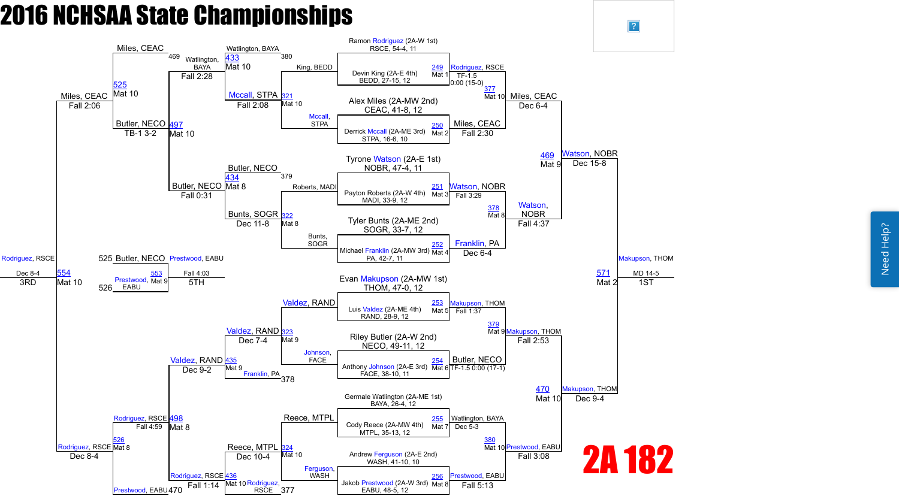Need Help? Need Help?

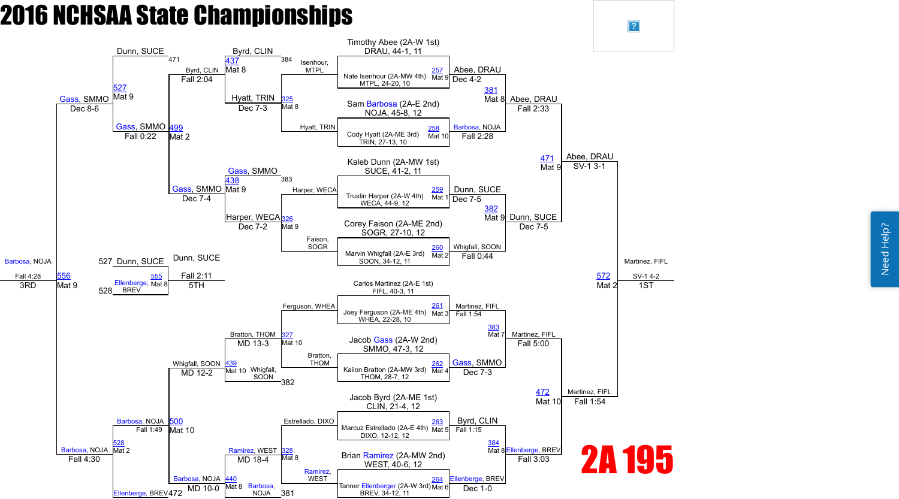

 $\vert$ ?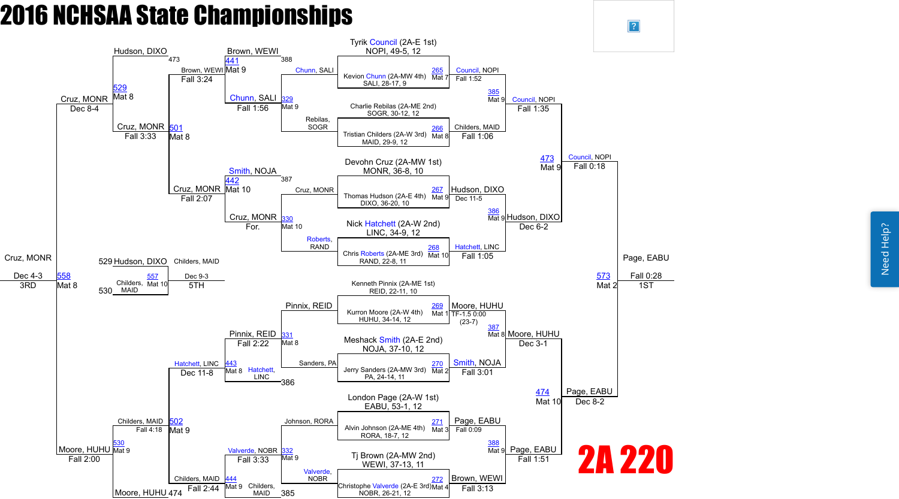

 $\vert$ ?